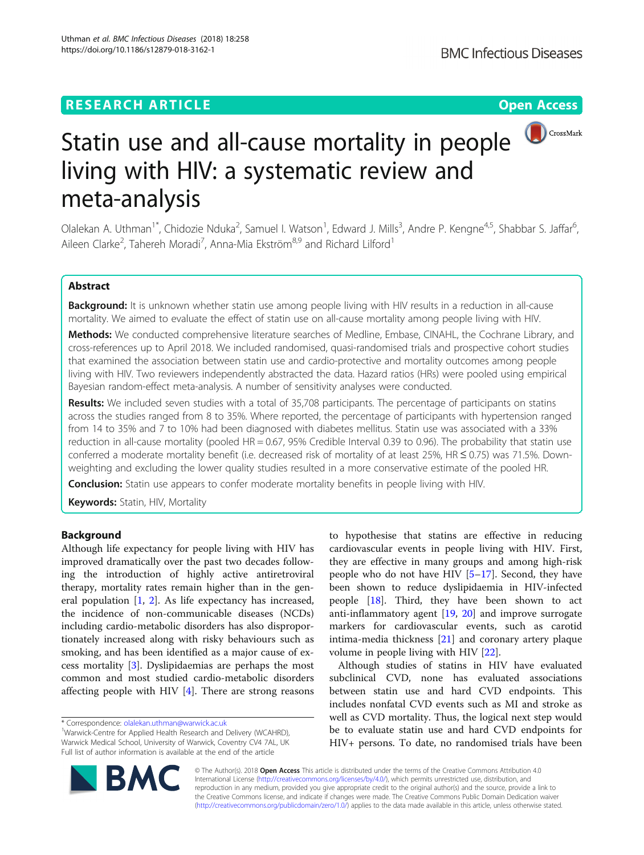## **RESEARCH ARTICLE Example 2018 12:30 THE Open Access**



# Statin use and all-cause mortality in people living with HIV: a systematic review and meta-analysis

Olalekan A. Uthman<sup>1\*</sup>, Chidozie Nduka<sup>2</sup>, Samuel I. Watson<sup>1</sup>, Edward J. Mills<sup>3</sup>, Andre P. Kengne<sup>4,5</sup>, Shabbar S. Jaffar<sup>6</sup> י<br>, Aileen Clarke<sup>2</sup>, Tahereh Moradi<sup>7</sup>, Anna-Mia Ekström<sup>8,9</sup> and Richard Lilford<sup>1</sup>

## Abstract

Background: It is unknown whether statin use among people living with HIV results in a reduction in all-cause mortality. We aimed to evaluate the effect of statin use on all-cause mortality among people living with HIV.

Methods: We conducted comprehensive literature searches of Medline, Embase, CINAHL, the Cochrane Library, and cross-references up to April 2018. We included randomised, quasi-randomised trials and prospective cohort studies that examined the association between statin use and cardio-protective and mortality outcomes among people living with HIV. Two reviewers independently abstracted the data. Hazard ratios (HRs) were pooled using empirical Bayesian random-effect meta-analysis. A number of sensitivity analyses were conducted.

Results: We included seven studies with a total of 35,708 participants. The percentage of participants on statins across the studies ranged from 8 to 35%. Where reported, the percentage of participants with hypertension ranged from 14 to 35% and 7 to 10% had been diagnosed with diabetes mellitus. Statin use was associated with a 33% reduction in all-cause mortality (pooled HR = 0.67, 95% Credible Interval 0.39 to 0.96). The probability that statin use conferred a moderate mortality benefit (i.e. decreased risk of mortality of at least 25%, HR ≤ 0.75) was 71.5%. Downweighting and excluding the lower quality studies resulted in a more conservative estimate of the pooled HR.

**Conclusion:** Statin use appears to confer moderate mortality benefits in people living with HIV.

Keywords: Statin, HIV, Mortality

## Background

Although life expectancy for people living with HIV has improved dramatically over the past two decades following the introduction of highly active antiretroviral therapy, mortality rates remain higher than in the general population [[1,](#page-6-0) [2\]](#page-6-0). As life expectancy has increased, the incidence of non-communicable diseases (NCDs) including cardio-metabolic disorders has also disproportionately increased along with risky behaviours such as smoking, and has been identified as a major cause of excess mortality [\[3](#page-6-0)]. Dyslipidaemias are perhaps the most common and most studied cardio-metabolic disorders affecting people with HIV [\[4\]](#page-6-0). There are strong reasons



Although studies of statins in HIV have evaluated subclinical CVD, none has evaluated associations between statin use and hard CVD endpoints. This includes nonfatal CVD events such as MI and stroke as well as CVD mortality. Thus, the logical next step would be to evaluate statin use and hard CVD endpoints for HIV+ persons. To date, no randomised trials have been



© The Author(s). 2018 Open Access This article is distributed under the terms of the Creative Commons Attribution 4.0 International License [\(http://creativecommons.org/licenses/by/4.0/](http://creativecommons.org/licenses/by/4.0/)), which permits unrestricted use, distribution, and reproduction in any medium, provided you give appropriate credit to the original author(s) and the source, provide a link to the Creative Commons license, and indicate if changes were made. The Creative Commons Public Domain Dedication waiver [\(http://creativecommons.org/publicdomain/zero/1.0/](http://creativecommons.org/publicdomain/zero/1.0/)) applies to the data made available in this article, unless otherwise stated.

<sup>\*</sup> Correspondence: [olalekan.uthman@warwick.ac.uk](mailto:olalekan.uthman@warwick.ac.uk) <sup>1</sup>

<sup>&</sup>lt;sup>1</sup>Warwick-Centre for Applied Health Research and Delivery (WCAHRD), Warwick Medical School, University of Warwick, Coventry CV4 7AL, UK Full list of author information is available at the end of the article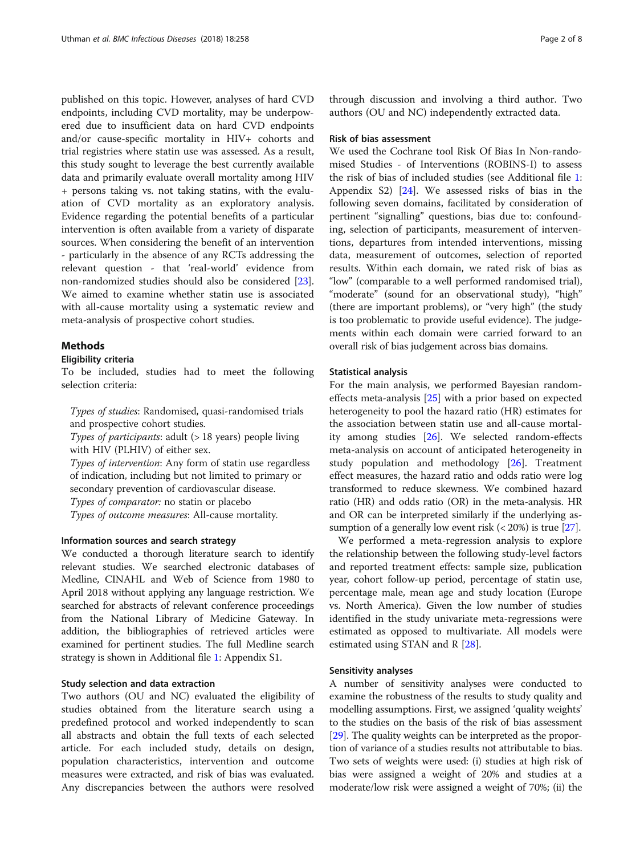published on this topic. However, analyses of hard CVD endpoints, including CVD mortality, may be underpowered due to insufficient data on hard CVD endpoints and/or cause-specific mortality in HIV+ cohorts and trial registries where statin use was assessed. As a result, this study sought to leverage the best currently available data and primarily evaluate overall mortality among HIV + persons taking vs. not taking statins, with the evaluation of CVD mortality as an exploratory analysis. Evidence regarding the potential benefits of a particular intervention is often available from a variety of disparate sources. When considering the benefit of an intervention - particularly in the absence of any RCTs addressing the relevant question - that 'real-world' evidence from non-randomized studies should also be considered [\[23](#page-7-0)]. We aimed to examine whether statin use is associated with all-cause mortality using a systematic review and meta-analysis of prospective cohort studies.

## **Methods**

## Eligibility criteria

To be included, studies had to meet the following selection criteria:

Types of studies: Randomised, quasi-randomised trials and prospective cohort studies.

Types of participants: adult  $(> 18$  years) people living with HIV (PLHIV) of either sex.

Types of intervention: Any form of statin use regardless of indication, including but not limited to primary or secondary prevention of cardiovascular disease. Types of comparator: no statin or placebo

Types of outcome measures: All-cause mortality.

## Information sources and search strategy

We conducted a thorough literature search to identify relevant studies. We searched electronic databases of Medline, CINAHL and Web of Science from 1980 to April 2018 without applying any language restriction. We searched for abstracts of relevant conference proceedings from the National Library of Medicine Gateway. In addition, the bibliographies of retrieved articles were examined for pertinent studies. The full Medline search strategy is shown in Additional file [1:](#page-6-0) Appendix S1.

## Study selection and data extraction

Two authors (OU and NC) evaluated the eligibility of studies obtained from the literature search using a predefined protocol and worked independently to scan all abstracts and obtain the full texts of each selected article. For each included study, details on design, population characteristics, intervention and outcome measures were extracted, and risk of bias was evaluated. Any discrepancies between the authors were resolved

through discussion and involving a third author. Two authors (OU and NC) independently extracted data.

## Risk of bias assessment

We used the Cochrane tool Risk Of Bias In Non-randomised Studies - of Interventions (ROBINS-I) to assess the risk of bias of included studies (see Additional file [1](#page-6-0): Appendix S2) [\[24\]](#page-7-0). We assessed risks of bias in the following seven domains, facilitated by consideration of pertinent "signalling" questions, bias due to: confounding, selection of participants, measurement of interventions, departures from intended interventions, missing data, measurement of outcomes, selection of reported results. Within each domain, we rated risk of bias as "low" (comparable to a well performed randomised trial), "moderate" (sound for an observational study), "high" (there are important problems), or "very high" (the study is too problematic to provide useful evidence). The judgements within each domain were carried forward to an overall risk of bias judgement across bias domains.

## Statistical analysis

For the main analysis, we performed Bayesian randomeffects meta-analysis [\[25\]](#page-7-0) with a prior based on expected heterogeneity to pool the hazard ratio (HR) estimates for the association between statin use and all-cause mortality among studies [[26](#page-7-0)]. We selected random-effects meta-analysis on account of anticipated heterogeneity in study population and methodology [\[26](#page-7-0)]. Treatment effect measures, the hazard ratio and odds ratio were log transformed to reduce skewness. We combined hazard ratio (HR) and odds ratio (OR) in the meta-analysis. HR and OR can be interpreted similarly if the underlying assumption of a generally low event risk  $( $20\%$ )$  is true [[27](#page-7-0)].

We performed a meta-regression analysis to explore the relationship between the following study-level factors and reported treatment effects: sample size, publication year, cohort follow-up period, percentage of statin use, percentage male, mean age and study location (Europe vs. North America). Given the low number of studies identified in the study univariate meta-regressions were estimated as opposed to multivariate. All models were estimated using STAN and R [\[28\]](#page-7-0).

## Sensitivity analyses

A number of sensitivity analyses were conducted to examine the robustness of the results to study quality and modelling assumptions. First, we assigned 'quality weights' to the studies on the basis of the risk of bias assessment [[29](#page-7-0)]. The quality weights can be interpreted as the proportion of variance of a studies results not attributable to bias. Two sets of weights were used: (i) studies at high risk of bias were assigned a weight of 20% and studies at a moderate/low risk were assigned a weight of 70%; (ii) the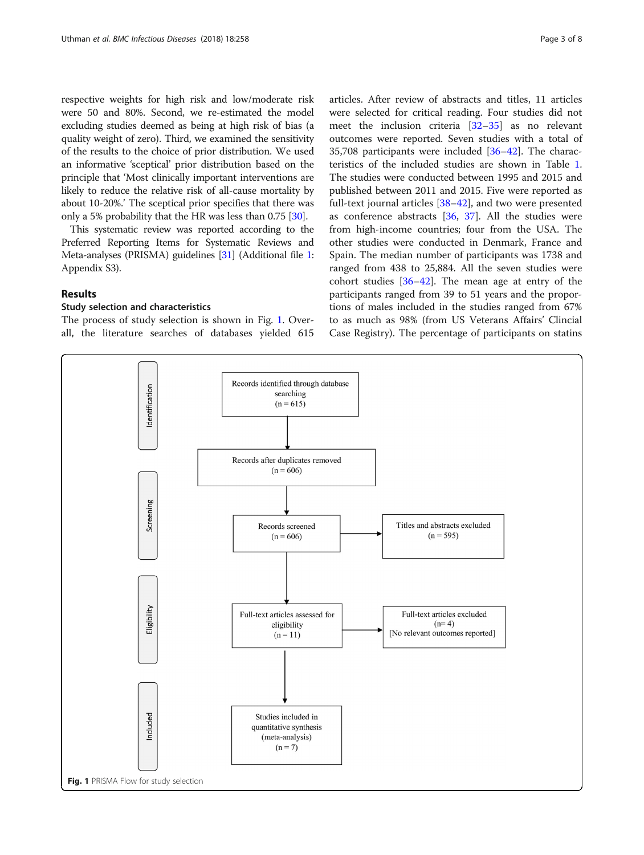respective weights for high risk and low/moderate risk were 50 and 80%. Second, we re-estimated the model excluding studies deemed as being at high risk of bias (a quality weight of zero). Third, we examined the sensitivity of the results to the choice of prior distribution. We used an informative 'sceptical' prior distribution based on the principle that 'Most clinically important interventions are likely to reduce the relative risk of all-cause mortality by about 10-20%.' The sceptical prior specifies that there was only a 5% probability that the HR was less than 0.75 [\[30\]](#page-7-0).

This systematic review was reported according to the Preferred Reporting Items for Systematic Reviews and Meta-analyses (PRISMA) guidelines [\[31\]](#page-7-0) (Additional file [1](#page-6-0): Appendix S3).

## Results

## Study selection and characteristics

The process of study selection is shown in Fig. 1. Overall, the literature searches of databases yielded 615 articles. After review of abstracts and titles, 11 articles were selected for critical reading. Four studies did not meet the inclusion criteria [\[32](#page-7-0)–[35\]](#page-7-0) as no relevant outcomes were reported. Seven studies with a total of 35,708 participants were included [\[36](#page-7-0)–[42\]](#page-7-0). The characteristics of the included studies are shown in Table [1](#page-3-0). The studies were conducted between 1995 and 2015 and published between 2011 and 2015. Five were reported as full-text journal articles [[38](#page-7-0)–[42](#page-7-0)], and two were presented as conference abstracts [\[36](#page-7-0), [37\]](#page-7-0). All the studies were from high-income countries; four from the USA. The other studies were conducted in Denmark, France and Spain. The median number of participants was 1738 and ranged from 438 to 25,884. All the seven studies were cohort studies [[36](#page-7-0)–[42](#page-7-0)]. The mean age at entry of the participants ranged from 39 to 51 years and the proportions of males included in the studies ranged from 67% to as much as 98% (from US Veterans Affairs' Clincial Case Registry). The percentage of participants on statins

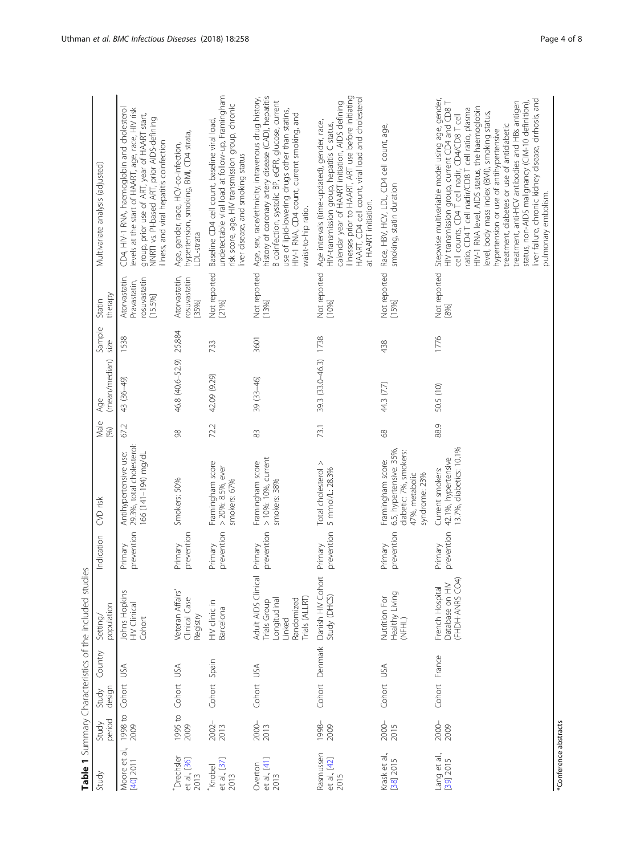<span id="page-3-0"></span>

|                                       |                 |                 |                | Səl<br>Table 1 Summary Characteristics of the included stud                                  |                       |                                                                                                          |              |                       |                |                                                          |                                                                                                                                                                                                                                                                                                                                                                                                                                                                                                                                                                                       |
|---------------------------------------|-----------------|-----------------|----------------|----------------------------------------------------------------------------------------------|-----------------------|----------------------------------------------------------------------------------------------------------|--------------|-----------------------|----------------|----------------------------------------------------------|---------------------------------------------------------------------------------------------------------------------------------------------------------------------------------------------------------------------------------------------------------------------------------------------------------------------------------------------------------------------------------------------------------------------------------------------------------------------------------------------------------------------------------------------------------------------------------------|
| Study                                 | period<br>Study | design<br>Study | Country        | population<br>Setting                                                                        | Indication            | CVD risk                                                                                                 | Male<br>(96) | (mean/median)<br>Age  | Sample<br>size | therapy<br>Statin                                        | Multivariate analysis (adjusted)                                                                                                                                                                                                                                                                                                                                                                                                                                                                                                                                                      |
| ਰੀ.,<br>Moore et<br>[40] 2011         | 1998 to<br>2009 | Cohort          | <b>ASU</b>     | Johns Hopkins<br>HIV Clinical<br>Cohort                                                      | prevention<br>Primary | 29.3%, total cholesterol:<br>Antihypertensive use:<br>166 (141-194) mg/dL                                | 67.2         | 43 (36–49)            | 1538           | Atorvastatin.<br>rosuvastatin<br>Pravastatin,<br>[15.5%] | CD4, HIV-1 RNA, haemoglobin and cholesterol<br>levels at the start of HAART, age, race, HIV risk<br>group, prior use of ART, year of HAART start,<br>NNRTI vs. Pl-based ART, prior AIDS-defining<br>liness, and viral hepatitis coinfection                                                                                                                                                                                                                                                                                                                                           |
| Drechsler<br>et al., [36]<br>2013     | 1995 to<br>2009 | Cohort USA      |                | Veteran Affairs'<br>Clinical Case<br>Registry                                                | prevention<br>Primary | Smokers: 50%                                                                                             | 88           | 46.8 (40.6-52.9)      | 25,884         | Atorvastatin,<br>osuvastatin<br>[35%]                    | hypertension, smoking, BMI, CD4 strata,<br>Age, gender, race, HCV-co-infection,<br>LDL-strata                                                                                                                                                                                                                                                                                                                                                                                                                                                                                         |
| et al., [37]<br>2013<br><b>Knobel</b> | 2002-<br>2013   | Cohort Spain    |                | HIV clinic in<br><b>Barcelona</b>                                                            | prevention<br>Primary | Framingham score<br>> 20%: 8.5%, ever<br>smokers: 67%                                                    | 72.2         | 42.09 (9.29)          | 733            | Not reported<br>[21%]                                    | undetectable viral load at follow-up, Framingham<br>risk score, age, HIV transmission group, chronic<br>Baseline CD4 cell count, baseline viral load,<br>liver disease, and smoking status                                                                                                                                                                                                                                                                                                                                                                                            |
| et al., [41]<br>2013<br>Overton       | 2000-<br>2013   | Cohort USA      |                | Adult AIDS Clinical<br>Trials (ALLRT)<br>Randomized<br>ongitudinal<br>Trials Group<br>Linked | prevention<br>Primary | > 10%: 10%, current<br>Framingham score<br>smokers: 38%                                                  | 83           | 39 (33-46)            | 3601           | Not reported<br>[13%]                                    | history of coronary artery disease (CAD), hepatitis<br>Age, sex, race/ethnicity, intravenous drug history,<br>B coinfection, systolic BP, eGFR, glucose, current<br>use of lipid-lowering drugs other than statins,<br>HIV-1 RNA, CD4 count, current smoking, and<br>waist-to-hip ratio.                                                                                                                                                                                                                                                                                              |
| Rasmussen<br>et al., [42]<br>2015     | 1998-<br>2009   |                 | Cohort Denmark | Danish HIV Cohort<br>Study (DHCS)                                                            | prevention<br>Primary | Total cholesterol ><br>5 mmol/L: 28.3%                                                                   | 73.1         | 39.3 (33.0-46.3) 1738 |                | Not reported<br>[10%]                                    | illnesses prior to HAART, ART use before initiating<br>HAART, CD4 cell count, viral load and cholesterol<br>calendar year of HAART initiation, AIDS defining<br>Age intervals (time-updated), gender, race,<br>HIV-transmission group, hepatitis C status,<br>at HAART initiation.                                                                                                                                                                                                                                                                                                    |
| Krask et al.,<br>[38] 2015            | 2000-<br>2015   | Cohort USA      |                | Healthy Living<br><b>Nutrition For</b><br>(NFHL)                                             | prevention<br>Primary | 6.5, hypertensive: 35%<br>diabetic: 7%, smokers:<br>Framingham score:<br>47%, metabolic<br>syndrome: 23% | 89           | 44.3 (7.7)            | 438            | Not reported<br>[15%]                                    | Race, HBV, HCV, LDL, CD4 cell count, age,<br>smoking, statin duration                                                                                                                                                                                                                                                                                                                                                                                                                                                                                                                 |
| Lang et al.,<br>[39] 2015             | 2000-<br>2009   |                 | Cohort France  | Database on HIV<br>(FHDH-ANRS CO4)<br>French Hospital                                        | prevention<br>Primary | 13.7%, diabetics: 10.1%<br>42.1%, hypertensive<br>Current smokers:                                       | 88.9         | 50.5 (10)             | 1776           | Not reported<br>[8%]                                     | Stepwise multivariable model using age, gender,<br>liver failure, chronic kidney disease, cirrhosis, and<br>treatment, anti-HCV antibodies and HBs antigen<br>HIV transmission group, current CD4 and CD8 T<br>status, non-AIDS malignancy (CIM-10 definition),<br>HIV-1 RNA level, AIDS status, the haemoglobin<br>ratio, CD4 T cell nadir/CD8 T cell ratio, plasma<br>evel, body mass index (BMI), smoking status,<br>cell counts, CD4 T cell nadir, CD4/CD8 T cell<br>treatment, diabetes or use of antidiabetic<br>hypertension or use of antihypertensive<br>pulmonary embolism. |

\*Conference abstracts

\*Conference abstracts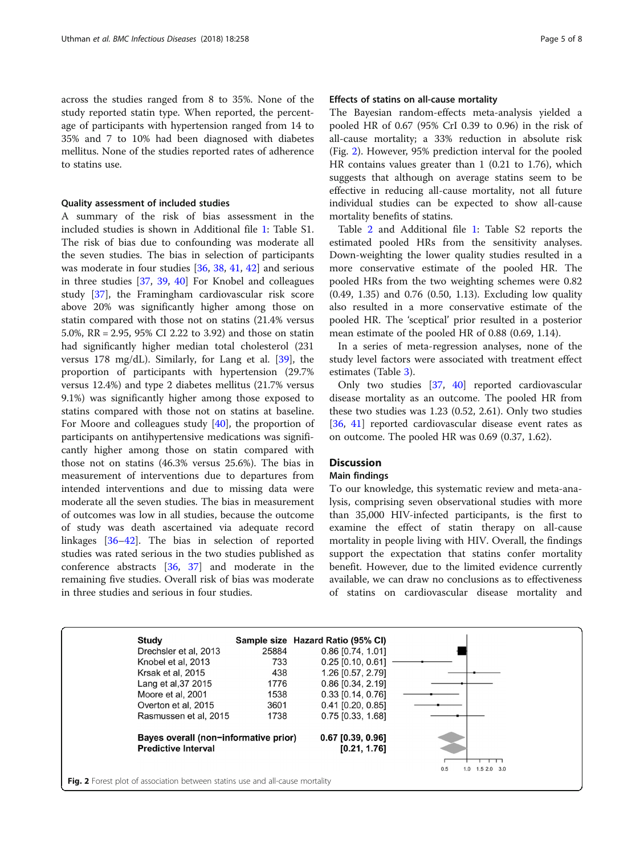across the studies ranged from 8 to 35%. None of the study reported statin type. When reported, the percentage of participants with hypertension ranged from 14 to 35% and 7 to 10% had been diagnosed with diabetes mellitus. None of the studies reported rates of adherence to statins use.

#### Quality assessment of included studies

A summary of the risk of bias assessment in the included studies is shown in Additional file [1:](#page-6-0) Table S1. The risk of bias due to confounding was moderate all the seven studies. The bias in selection of participants was moderate in four studies [\[36](#page-7-0), [38](#page-7-0), [41](#page-7-0), [42](#page-7-0)] and serious in three studies [\[37](#page-7-0), [39](#page-7-0), [40](#page-7-0)] For Knobel and colleagues study [\[37](#page-7-0)], the Framingham cardiovascular risk score above 20% was significantly higher among those on statin compared with those not on statins (21.4% versus 5.0%, RR = 2.95, 95% CI 2.22 to 3.92) and those on statin had significantly higher median total cholesterol (231 versus 178 mg/dL). Similarly, for Lang et al. [[39\]](#page-7-0), the proportion of participants with hypertension (29.7% versus 12.4%) and type 2 diabetes mellitus (21.7% versus 9.1%) was significantly higher among those exposed to statins compared with those not on statins at baseline. For Moore and colleagues study [[40\]](#page-7-0), the proportion of participants on antihypertensive medications was significantly higher among those on statin compared with those not on statins (46.3% versus 25.6%). The bias in measurement of interventions due to departures from intended interventions and due to missing data were moderate all the seven studies. The bias in measurement of outcomes was low in all studies, because the outcome of study was death ascertained via adequate record linkages [\[36](#page-7-0)–[42](#page-7-0)]. The bias in selection of reported studies was rated serious in the two studies published as conference abstracts [[36,](#page-7-0) [37\]](#page-7-0) and moderate in the remaining five studies. Overall risk of bias was moderate in three studies and serious in four studies.

## Effects of statins on all-cause mortality

The Bayesian random-effects meta-analysis yielded a pooled HR of 0.67 (95% CrI 0.39 to 0.96) in the risk of all-cause mortality; a 33% reduction in absolute risk (Fig. 2). However, 95% prediction interval for the pooled HR contains values greater than 1 (0.21 to 1.76), which suggests that although on average statins seem to be effective in reducing all-cause mortality, not all future individual studies can be expected to show all-cause mortality benefits of statins.

Table [2](#page-5-0) and Additional file [1](#page-6-0): Table S2 reports the estimated pooled HRs from the sensitivity analyses. Down-weighting the lower quality studies resulted in a more conservative estimate of the pooled HR. The pooled HRs from the two weighting schemes were 0.82 (0.49, 1.35) and 0.76 (0.50, 1.13). Excluding low quality also resulted in a more conservative estimate of the pooled HR. The 'sceptical' prior resulted in a posterior mean estimate of the pooled HR of 0.88 (0.69, 1.14).

In a series of meta-regression analyses, none of the study level factors were associated with treatment effect estimates (Table [3\)](#page-5-0).

Only two studies [[37,](#page-7-0) [40](#page-7-0)] reported cardiovascular disease mortality as an outcome. The pooled HR from these two studies was 1.23 (0.52, 2.61). Only two studies [[36,](#page-7-0) [41\]](#page-7-0) reported cardiovascular disease event rates as on outcome. The pooled HR was 0.69 (0.37, 1.62).

## **Discussion**

## Main findings

To our knowledge, this systematic review and meta-analysis, comprising seven observational studies with more than 35,000 HIV-infected participants, is the first to examine the effect of statin therapy on all-cause mortality in people living with HIV. Overall, the findings support the expectation that statins confer mortality benefit. However, due to the limited evidence currently available, we can draw no conclusions as to effectiveness of statins on cardiovascular disease mortality and

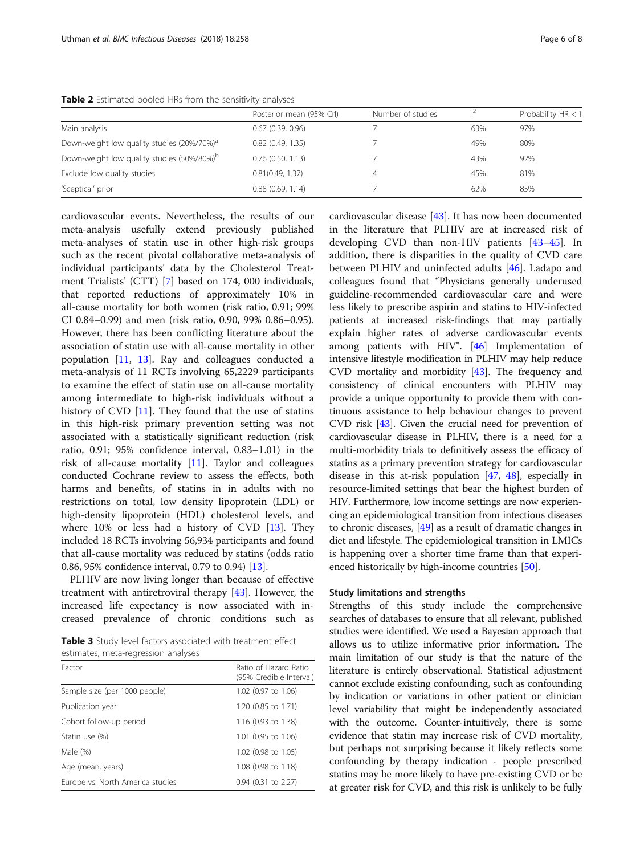<span id="page-5-0"></span>Table 2 Estimated pooled HRs from the sensitivity analyse

| 2Q(1) |  |  |  |
|-------|--|--|--|

|                                                        | Posterior mean (95% Crl) | Number of studies |     | Probability HR < 1 |
|--------------------------------------------------------|--------------------------|-------------------|-----|--------------------|
| Main analysis                                          | $0.67$ $(0.39, 0.96)$    |                   | 63% | 97%                |
| Down-weight low quality studies (20%/70%) <sup>a</sup> | $0.82$ $(0.49, 1.35)$    |                   | 49% | 80%                |
| Down-weight low quality studies (50%/80%) <sup>b</sup> | $0.76$ $(0.50, 1.13)$    |                   | 43% | 92%                |
| Exclude low quality studies                            | 0.81(0.49, 1.37)         |                   | 45% | 81%                |
| 'Sceptical' prior                                      | $0.88$ $(0.69, 1.14)$    |                   | 62% | 85%                |

cardiovascular events. Nevertheless, the results of our meta-analysis usefully extend previously published meta-analyses of statin use in other high-risk groups such as the recent pivotal collaborative meta-analysis of individual participants' data by the Cholesterol Treatment Trialists' (CTT) [\[7](#page-6-0)] based on 174, 000 individuals, that reported reductions of approximately 10% in all-cause mortality for both women (risk ratio, 0.91; 99% CI 0.84–0.99) and men (risk ratio, 0.90, 99% 0.86–0.95). However, there has been conflicting literature about the association of statin use with all-cause mortality in other population [[11,](#page-7-0) [13](#page-7-0)]. Ray and colleagues conducted a meta-analysis of 11 RCTs involving 65,2229 participants to examine the effect of statin use on all-cause mortality among intermediate to high-risk individuals without a history of CVD [[11\]](#page-7-0). They found that the use of statins in this high-risk primary prevention setting was not associated with a statistically significant reduction (risk ratio, 0.91; 95% confidence interval, 0.83–1.01) in the risk of all-cause mortality [[11\]](#page-7-0). Taylor and colleagues conducted Cochrane review to assess the effects, both harms and benefits, of statins in in adults with no restrictions on total, low density lipoprotein (LDL) or high-density lipoprotein (HDL) cholesterol levels, and where 10% or less had a history of CVD [\[13](#page-7-0)]. They included 18 RCTs involving 56,934 participants and found that all-cause mortality was reduced by statins (odds ratio 0.86, 95% confidence interval, 0.79 to 0.94) [\[13\]](#page-7-0).

PLHIV are now living longer than because of effective treatment with antiretroviral therapy [[43\]](#page-7-0). However, the increased life expectancy is now associated with increased prevalence of chronic conditions such as

Table 3 Study level factors associated with treatment effect estimates, meta-regression analyses

| Factor                           | Ratio of Hazard Ratio<br>(95% Credible Interval) |
|----------------------------------|--------------------------------------------------|
| Sample size (per 1000 people)    | 1.02 (0.97 to 1.06)                              |
| Publication year                 | 1.20 (0.85 to 1.71)                              |
| Cohort follow-up period          | 1.16 (0.93 to 1.38)                              |
| Statin use (%)                   | $1.01$ (0.95 to 1.06)                            |
| Male (%)                         | 1.02 (0.98 to 1.05)                              |
| Age (mean, years)                | 1.08 (0.98 to 1.18)                              |
| Europe vs. North America studies | $0.94$ (0.31 to 2.27)                            |

cardiovascular disease [[43\]](#page-7-0). It has now been documented in the literature that PLHIV are at increased risk of developing CVD than non-HIV patients [[43](#page-7-0)–[45](#page-7-0)]. In addition, there is disparities in the quality of CVD care between PLHIV and uninfected adults [[46\]](#page-7-0). Ladapo and colleagues found that "Physicians generally underused guideline-recommended cardiovascular care and were less likely to prescribe aspirin and statins to HIV-infected patients at increased risk-findings that may partially explain higher rates of adverse cardiovascular events among patients with HIV". [\[46\]](#page-7-0) Implementation of intensive lifestyle modification in PLHIV may help reduce CVD mortality and morbidity [[43](#page-7-0)]. The frequency and consistency of clinical encounters with PLHIV may provide a unique opportunity to provide them with continuous assistance to help behaviour changes to prevent CVD risk [\[43\]](#page-7-0). Given the crucial need for prevention of cardiovascular disease in PLHIV, there is a need for a multi-morbidity trials to definitively assess the efficacy of statins as a primary prevention strategy for cardiovascular disease in this at-risk population [\[47](#page-7-0), [48\]](#page-7-0), especially in resource-limited settings that bear the highest burden of HIV. Furthermore, low income settings are now experiencing an epidemiological transition from infectious diseases to chronic diseases, [[49](#page-7-0)] as a result of dramatic changes in diet and lifestyle. The epidemiological transition in LMICs is happening over a shorter time frame than that experi-enced historically by high-income countries [[50](#page-7-0)].

## Study limitations and strengths

Strengths of this study include the comprehensive searches of databases to ensure that all relevant, published studies were identified. We used a Bayesian approach that allows us to utilize informative prior information. The main limitation of our study is that the nature of the literature is entirely observational. Statistical adjustment cannot exclude existing confounding, such as confounding by indication or variations in other patient or clinician level variability that might be independently associated with the outcome. Counter-intuitively, there is some evidence that statin may increase risk of CVD mortality, but perhaps not surprising because it likely reflects some confounding by therapy indication - people prescribed statins may be more likely to have pre-existing CVD or be at greater risk for CVD, and this risk is unlikely to be fully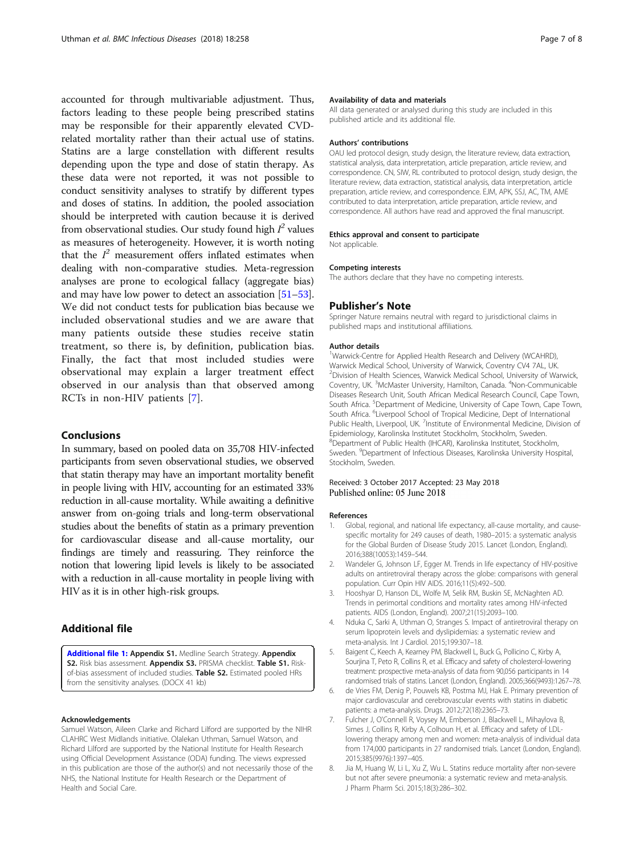<span id="page-6-0"></span>accounted for through multivariable adjustment. Thus, factors leading to these people being prescribed statins may be responsible for their apparently elevated CVDrelated mortality rather than their actual use of statins. Statins are a large constellation with different results depending upon the type and dose of statin therapy. As these data were not reported, it was not possible to conduct sensitivity analyses to stratify by different types and doses of statins. In addition, the pooled association should be interpreted with caution because it is derived from observational studies. Our study found high  $I^2$  values as measures of heterogeneity. However, it is worth noting that the  $I^2$  measurement offers inflated estimates when dealing with non-comparative studies. Meta-regression analyses are prone to ecological fallacy (aggregate bias) and may have low power to detect an association [\[51](#page-7-0)–[53](#page-7-0)]. We did not conduct tests for publication bias because we included observational studies and we are aware that many patients outside these studies receive statin treatment, so there is, by definition, publication bias. Finally, the fact that most included studies were observational may explain a larger treatment effect observed in our analysis than that observed among RCTs in non-HIV patients [7].

## Conclusions

In summary, based on pooled data on 35,708 HIV-infected participants from seven observational studies, we observed that statin therapy may have an important mortality benefit in people living with HIV, accounting for an estimated 33% reduction in all-cause mortality. While awaiting a definitive answer from on-going trials and long-term observational studies about the benefits of statin as a primary prevention for cardiovascular disease and all-cause mortality, our findings are timely and reassuring. They reinforce the notion that lowering lipid levels is likely to be associated with a reduction in all-cause mortality in people living with HIV as it is in other high-risk groups.

## Additional file

[Additional file 1:](https://doi.org/10.1186/s12879-018-3162-1) Appendix S1. Medline Search Strategy. Appendix S2. Risk bias assessment. Appendix S3. PRISMA checklist. Table S1. Riskof-bias assessment of included studies. Table S2. Estimated pooled HRs from the sensitivity analyses. (DOCX 41 kb)

#### Acknowledgements

Samuel Watson, Aileen Clarke and Richard Lilford are supported by the NIHR CLAHRC West Midlands initiative. Olalekan Uthman, Samuel Watson, and Richard Lilford are supported by the National Institute for Health Research using Official Development Assistance (ODA) funding. The views expressed in this publication are those of the author(s) and not necessarily those of the NHS, the National Institute for Health Research or the Department of Health and Social Care.

#### Availability of data and materials

All data generated or analysed during this study are included in this published article and its additional file.

#### Authors' contributions

OAU led protocol design, study design, the literature review, data extraction, statistical analysis, data interpretation, article preparation, article review, and correspondence. CN, SIW, RL contributed to protocol design, study design, the literature review, data extraction, statistical analysis, data interpretation, article preparation, article review, and correspondence. EJM, APK, SSJ, AC, TM, AME contributed to data interpretation, article preparation, article review, and correspondence. All authors have read and approved the final manuscript.

#### Ethics approval and consent to participate

Not applicable.

#### Competing interests

The authors declare that they have no competing interests.

#### Publisher's Note

Springer Nature remains neutral with regard to jurisdictional claims in published maps and institutional affiliations.

#### Author details

<sup>1</sup>Warwick-Centre for Applied Health Research and Delivery (WCAHRD), Warwick Medical School, University of Warwick, Coventry CV4 7AL, UK. 2 Division of Health Sciences, Warwick Medical School, University of Warwick, Coventry, UK. <sup>3</sup>McMaster University, Hamilton, Canada. <sup>4</sup>Non-Communicable Diseases Research Unit, South African Medical Research Council, Cape Town, South Africa. <sup>5</sup>Department of Medicine, University of Cape Town, Cape Town South Africa. <sup>6</sup>Liverpool School of Tropical Medicine, Dept of International Public Health, Liverpool, UK. <sup>7</sup>Institute of Environmental Medicine, Division of Epidemiology, Karolinska Institutet Stockholm, Stockholm, Sweden. 8 Department of Public Health (IHCAR), Karolinska Institutet, Stockholm, Sweden. <sup>9</sup>Department of Infectious Diseases, Karolinska University Hospital Stockholm, Sweden.

## Received: 3 October 2017 Accepted: 23 May 2018 Published online: 05 June 2018

#### References

- 1. Global, regional, and national life expectancy, all-cause mortality, and causespecific mortality for 249 causes of death, 1980–2015: a systematic analysis for the Global Burden of Disease Study 2015. Lancet (London, England). 2016;388(10053):1459–544.
- 2. Wandeler G, Johnson LF, Egger M. Trends in life expectancy of HIV-positive adults on antiretroviral therapy across the globe: comparisons with general population. Curr Opin HIV AIDS. 2016;11(5):492–500.
- 3. Hooshyar D, Hanson DL, Wolfe M, Selik RM, Buskin SE, McNaghten AD. Trends in perimortal conditions and mortality rates among HIV-infected patients. AIDS (London, England). 2007;21(15):2093–100.
- 4. Nduka C, Sarki A, Uthman O, Stranges S. Impact of antiretroviral therapy on serum lipoprotein levels and dyslipidemias: a systematic review and meta-analysis. Int J Cardiol. 2015;199:307–18.
- 5. Baigent C, Keech A, Kearney PM, Blackwell L, Buck G, Pollicino C, Kirby A, Sourjina T, Peto R, Collins R, et al. Efficacy and safety of cholesterol-lowering treatment: prospective meta-analysis of data from 90,056 participants in 14 randomised trials of statins. Lancet (London, England). 2005;366(9493):1267–78.
- 6. de Vries FM, Denig P, Pouwels KB, Postma MJ, Hak E. Primary prevention of major cardiovascular and cerebrovascular events with statins in diabetic patients: a meta-analysis. Drugs. 2012;72(18):2365–73.
- 7. Fulcher J, O'Connell R, Voysey M, Emberson J, Blackwell L, Mihaylova B, Simes J, Collins R, Kirby A, Colhoun H, et al. Efficacy and safety of LDLlowering therapy among men and women: meta-analysis of individual data from 174,000 participants in 27 randomised trials. Lancet (London, England). 2015;385(9976):1397–405.
- Jia M, Huang W, Li L, Xu Z, Wu L. Statins reduce mortality after non-severe but not after severe pneumonia: a systematic review and meta-analysis. J Pharm Pharm Sci. 2015;18(3):286–302.